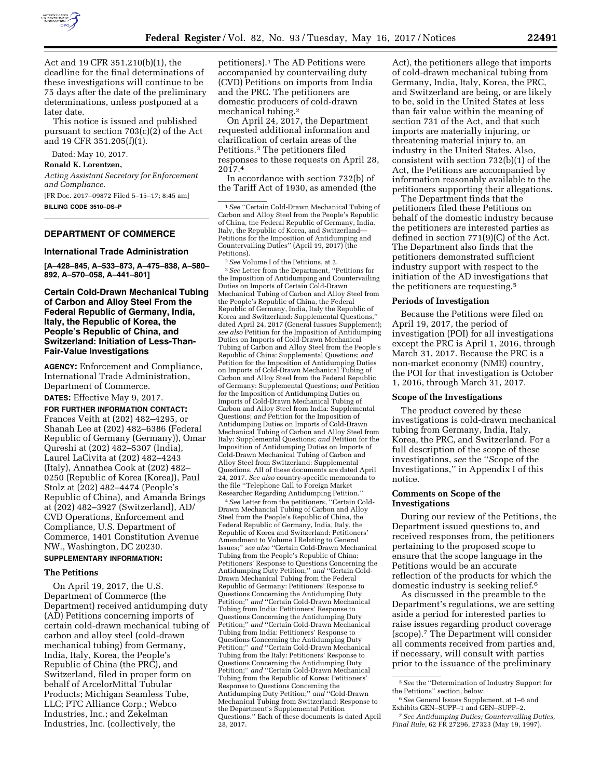

Act and 19 CFR 351.210(b)(1), the deadline for the final determinations of these investigations will continue to be 75 days after the date of the preliminary determinations, unless postponed at a later date.

This notice is issued and published pursuant to section 703(c)(2) of the Act and 19 CFR 351.205(f)(1).

Dated: May 10, 2017.

**Ronald K. Lorentzen,** 

*Acting Assistant Secretary for Enforcement and Compliance.* 

[FR Doc. 2017–09872 Filed 5–15–17; 8:45 am] **BILLING CODE 3510–DS–P** 

## **DEPARTMENT OF COMMERCE**

#### **International Trade Administration**

**[A–428–845, A–533–873, A–475–838, A–580– 892, A–570–058, A–441–801]** 

**Certain Cold-Drawn Mechanical Tubing of Carbon and Alloy Steel From the Federal Republic of Germany, India, Italy, the Republic of Korea, the People's Republic of China, and Switzerland: Initiation of Less-Than-Fair-Value Investigations** 

**AGENCY:** Enforcement and Compliance, International Trade Administration, Department of Commerce.

**DATES:** Effective May 9, 2017.

**FOR FURTHER INFORMATION CONTACT:**  Frances Veith at (202) 482–4295, or Shanah Lee at (202) 482–6386 (Federal Republic of Germany (Germany)), Omar Qureshi at (202) 482–5307 (India), Laurel LaCivita at (202) 482–4243 (Italy), Annathea Cook at (202) 482– 0250 (Republic of Korea (Korea)), Paul Stolz at (202) 482–4474 (People's Republic of China), and Amanda Brings at (202) 482–3927 (Switzerland), AD/ CVD Operations, Enforcement and Compliance, U.S. Department of Commerce, 1401 Constitution Avenue NW., Washington, DC 20230.

# **SUPPLEMENTARY INFORMATION:**

## **The Petitions**

On April 19, 2017, the U.S. Department of Commerce (the Department) received antidumping duty (AD) Petitions concerning imports of certain cold-drawn mechanical tubing of carbon and alloy steel (cold-drawn mechanical tubing) from Germany, India, Italy, Korea, the People's Republic of China (the PRC), and Switzerland, filed in proper form on behalf of ArcelorMittal Tubular Products; Michigan Seamless Tube, LLC; PTC Alliance Corp.; Webco Industries, Inc.; and Zekelman Industries, Inc. (collectively, the

petitioners).1 The AD Petitions were accompanied by countervailing duty (CVD) Petitions on imports from India and the PRC. The petitioners are domestic producers of cold-drawn mechanical tubing.2

On April 24, 2017, the Department requested additional information and clarification of certain areas of the Petitions.3 The petitioners filed responses to these requests on April 28, 2017.4

In accordance with section 732(b) of the Tariff Act of 1930, as amended (the

1*See* ''Certain Cold-Drawn Mechanical Tubing of Carbon and Alloy Steel from the People's Republic of China, the Federal Republic of Germany, India, Italy, the Republic of Korea, and Switzerland— Petitions for the Imposition of Antidumping and Countervailing Duties'' (April 19, 2017) (the

Petitions).<br><sup>2</sup> *See* Volume I of the Petitions, at 2.<br><sup>3</sup> *See* Letter from the Department, ''Petitions for the Imposition of Antidumping and Countervailing Duties on Imports of Certain Cold-Drawn Mechanical Tubing of Carbon and Alloy Steel from the People's Republic of China, the Federal Republic of Germany, India, Italy the Republic of Korea and Switzerland: Supplemental Questions,'' dated April 24, 2017 (General Iussues Supplement); *see also* Petition for the Imposition of Antidumping Duties on Imports of Cold-Drawn Mechanical Tubing of Carbon and Alloy Steel from the People's Republic of China: Supplemental Questions; *and*  Petition for the Imposition of Antidumping Duties on Imports of Cold-Drawn Mechanical Tubing of Carbon and Alloy Steel from the Federal Republic of Germany: Supplemental Questions; *and* Petition for the Imposition of Antidumping Duties on Imports of Cold-Drawn Mechanical Tubing of Carbon and Alloy Steel from India: Supplemental Questions; *and* Petition for the Imposition of Antidumping Duties on Imports of Cold-Drawn Mechanical Tubing of Carbon and Alloy Steel from Italy: Supplemental Questions; *and* Petition for the Imposition of Antidumping Duties on Imports of Cold-Drawn Mechanical Tubing of Carbon and Alloy Steel from Switzerland: Supplemental Questions. All of these documents are dated April 24, 2017. *See also* country-specific memoranda to the file ''Telephone Call to Foreign Market Researcher Regarding Antidumping Petition.''

4*See* Letter from the petitioners, ''Certain Cold-Drawn Mechancial Tubing of Carbon and Alloy Steel from the People's Republic of China, the Federal Republic of Germany, India, Italy, the Republic of Korea and Switzerland: Petitioners' Amendment to Volume I Relating to General Issues;'' *see also* ''Certain Cold-Drawn Mechanical Tubing from the People's Republic of China: Petitioners' Response to Questions Concerning the Antidumping Duty Petition;'' *and* ''Certain Cold-Drawn Mechanical Tubing from the Federal Republic of Germany: Petitioners' Response to Questions Concerning the Antidumping Duty Petition;'' *and* ''Certain Cold-Drawn Mechanical Tubing from India: Petitioners' Response to Questions Concerning the Antidumping Duty Petition;'' *and* ''Certain Cold-Drawn Mechanical Tubing from India: Petitioners' Response to Questions Concerning the Antidumping Duty Petition;'' *and* ''Certain Cold-Drawn Mechanical Tubing from the Italy: Petitioners' Response to Questions Concerning the Antidumping Duty Petition;'' *and* ''Certain Cold-Drawn Mechanical Tubing from the Republic of Korea: Petitioners' Response to Questions Concerning the Antidumping Duty Petition;'' *and* ''Cold-Drawn Mechanical Tubing from Switzerland: Response to the Department's Supplemental Petition Questions.'' Each of these documents is dated April 28, 2017.

Act), the petitioners allege that imports of cold-drawn mechanical tubing from Germany, India, Italy, Korea, the PRC, and Switzerland are being, or are likely to be, sold in the United States at less than fair value within the meaning of section 731 of the Act, and that such imports are materially injuring, or threatening material injury to, an industry in the United States. Also, consistent with section 732(b)(1) of the Act, the Petitions are accompanied by information reasonably available to the petitioners supporting their allegations.

The Department finds that the petitioners filed these Petitions on behalf of the domestic industry because the petitioners are interested parties as defined in section 771(9)(C) of the Act. The Department also finds that the petitioners demonstrated sufficient industry support with respect to the initiation of the AD investigations that the petitioners are requesting.5

## **Periods of Investigation**

Because the Petitions were filed on April 19, 2017, the period of investigation (POI) for all investigations except the PRC is April 1, 2016, through March 31, 2017. Because the PRC is a non-market economy (NME) country, the POI for that investigation is October 1, 2016, through March 31, 2017.

## **Scope of the Investigations**

The product covered by these investigations is cold-drawn mechanical tubing from Germany, India, Italy, Korea, the PRC, and Switzerland. For a full description of the scope of these investigations, *see* the ''Scope of the Investigations,'' in Appendix I of this notice.

## **Comments on Scope of the Investigations**

During our review of the Petitions, the Department issued questions to, and received responses from, the petitioners pertaining to the proposed scope to ensure that the scope language in the Petitions would be an accurate reflection of the products for which the domestic industry is seeking relief.6

As discussed in the preamble to the Department's regulations, we are setting aside a period for interested parties to raise issues regarding product coverage (scope).7 The Department will consider all comments received from parties and, if necessary, will consult with parties prior to the issuance of the preliminary

<sup>5</sup>*See* the ''Determination of Industry Support for the Petitions'' section, below.

<sup>6</sup>*See* General Issues Supplement, at 1–6 and Exhibits GEN–SUPP–1 and GEN–SUPP–2.

<sup>7</sup>*See Antidumping Duties; Countervailing Duties, Final Rule,* 62 FR 27296, 27323 (May 19, 1997).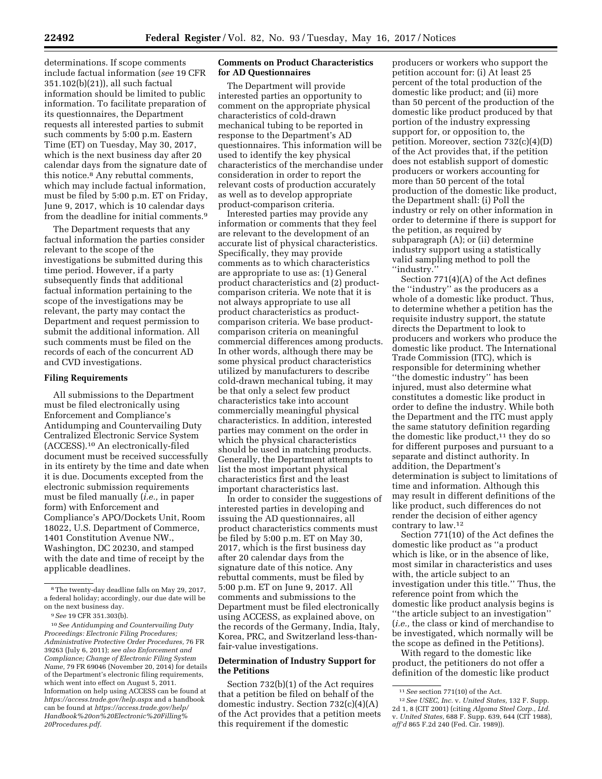determinations. If scope comments include factual information (*see* 19 CFR 351.102(b)(21)), all such factual information should be limited to public information. To facilitate preparation of its questionnaires, the Department requests all interested parties to submit such comments by 5:00 p.m. Eastern Time (ET) on Tuesday, May 30, 2017, which is the next business day after 20 calendar days from the signature date of this notice.8 Any rebuttal comments, which may include factual information, must be filed by 5:00 p.m. ET on Friday, June 9, 2017, which is 10 calendar days from the deadline for initial comments.9

The Department requests that any factual information the parties consider relevant to the scope of the investigations be submitted during this time period. However, if a party subsequently finds that additional factual information pertaining to the scope of the investigations may be relevant, the party may contact the Department and request permission to submit the additional information. All such comments must be filed on the records of each of the concurrent AD and CVD investigations.

## **Filing Requirements**

All submissions to the Department must be filed electronically using Enforcement and Compliance's Antidumping and Countervailing Duty Centralized Electronic Service System (ACCESS).10 An electronically-filed document must be received successfully in its entirety by the time and date when it is due. Documents excepted from the electronic submission requirements must be filed manually (*i.e.,* in paper form) with Enforcement and Compliance's APO/Dockets Unit, Room 18022, U.S. Department of Commerce, 1401 Constitution Avenue NW., Washington, DC 20230, and stamped with the date and time of receipt by the applicable deadlines.

# **Comments on Product Characteristics for AD Questionnaires**

The Department will provide interested parties an opportunity to comment on the appropriate physical characteristics of cold-drawn mechanical tubing to be reported in response to the Department's AD questionnaires. This information will be used to identify the key physical characteristics of the merchandise under consideration in order to report the relevant costs of production accurately as well as to develop appropriate product-comparison criteria.

Interested parties may provide any information or comments that they feel are relevant to the development of an accurate list of physical characteristics. Specifically, they may provide comments as to which characteristics are appropriate to use as: (1) General product characteristics and (2) productcomparison criteria. We note that it is not always appropriate to use all product characteristics as productcomparison criteria. We base productcomparison criteria on meaningful commercial differences among products. In other words, although there may be some physical product characteristics utilized by manufacturers to describe cold-drawn mechanical tubing, it may be that only a select few product characteristics take into account commercially meaningful physical characteristics. In addition, interested parties may comment on the order in which the physical characteristics should be used in matching products. Generally, the Department attempts to list the most important physical characteristics first and the least important characteristics last.

In order to consider the suggestions of interested parties in developing and issuing the AD questionnaires, all product characteristics comments must be filed by 5:00 p.m. ET on May 30, 2017, which is the first business day after 20 calendar days from the signature date of this notice. Any rebuttal comments, must be filed by 5:00 p.m. ET on June 9, 2017. All comments and submissions to the Department must be filed electronically using ACCESS, as explained above, on the records of the Germany, India, Italy, Korea, PRC, and Switzerland less-thanfair-value investigations.

## **Determination of Industry Support for the Petitions**

Section 732(b)(1) of the Act requires that a petition be filed on behalf of the domestic industry. Section 732(c)(4)(A) of the Act provides that a petition meets this requirement if the domestic

producers or workers who support the petition account for: (i) At least 25 percent of the total production of the domestic like product; and (ii) more than 50 percent of the production of the domestic like product produced by that portion of the industry expressing support for, or opposition to, the petition. Moreover, section 732(c)(4)(D) of the Act provides that, if the petition does not establish support of domestic producers or workers accounting for more than 50 percent of the total production of the domestic like product, the Department shall: (i) Poll the industry or rely on other information in order to determine if there is support for the petition, as required by subparagraph (A); or (ii) determine industry support using a statistically valid sampling method to poll the ''industry.''

Section 771(4)(A) of the Act defines the ''industry'' as the producers as a whole of a domestic like product. Thus, to determine whether a petition has the requisite industry support, the statute directs the Department to look to producers and workers who produce the domestic like product. The International Trade Commission (ITC), which is responsible for determining whether ''the domestic industry'' has been injured, must also determine what constitutes a domestic like product in order to define the industry. While both the Department and the ITC must apply the same statutory definition regarding the domestic like product,<sup>11</sup> they do so for different purposes and pursuant to a separate and distinct authority. In addition, the Department's determination is subject to limitations of time and information. Although this may result in different definitions of the like product, such differences do not render the decision of either agency contrary to law.12

Section 771(10) of the Act defines the domestic like product as ''a product which is like, or in the absence of like, most similar in characteristics and uses with, the article subject to an investigation under this title.'' Thus, the reference point from which the domestic like product analysis begins is ''the article subject to an investigation'' (*i.e.,* the class or kind of merchandise to be investigated, which normally will be the scope as defined in the Petitions).

With regard to the domestic like product, the petitioners do not offer a definition of the domestic like product

<sup>8</sup>The twenty-day deadline falls on May 29, 2017, a federal holiday; accordingly, our due date will be on the next business day.

<sup>9</sup>*See* 19 CFR 351.303(b).

<sup>10</sup>*See Antidumping and Countervailing Duty Proceedings: Electronic Filing Procedures; Administrative Protective Order Procedures,* 76 FR 39263 (July 6, 2011); *see also Enforcement and Compliance; Change of Electronic Filing System Name,* 79 FR 69046 (November 20, 2014) for details of the Department's electronic filing requirements, which went into effect on August 5, 2011. Information on help using ACCESS can be found at *<https://access.trade.gov/help.aspx>* and a handbook can be found at *[https://access.trade.gov/help/](https://access.trade.gov/help/Handbook%20on%20Electronic%20Filling%20Procedures.pdf)  [Handbook%20on%20Electronic%20Filling%](https://access.trade.gov/help/Handbook%20on%20Electronic%20Filling%20Procedures.pdf) [20Procedures.pdf.](https://access.trade.gov/help/Handbook%20on%20Electronic%20Filling%20Procedures.pdf)* 

<sup>11</sup>*See* section 771(10) of the Act.

<sup>12</sup>*See USEC, Inc.* v. *United States,* 132 F. Supp. 2d 1, 8 (CIT 2001) (citing *Algoma Steel Corp., Ltd.*  v. *United States,* 688 F. Supp. 639, 644 (CIT 1988), *aff'd* 865 F.2d 240 (Fed. Cir. 1989)).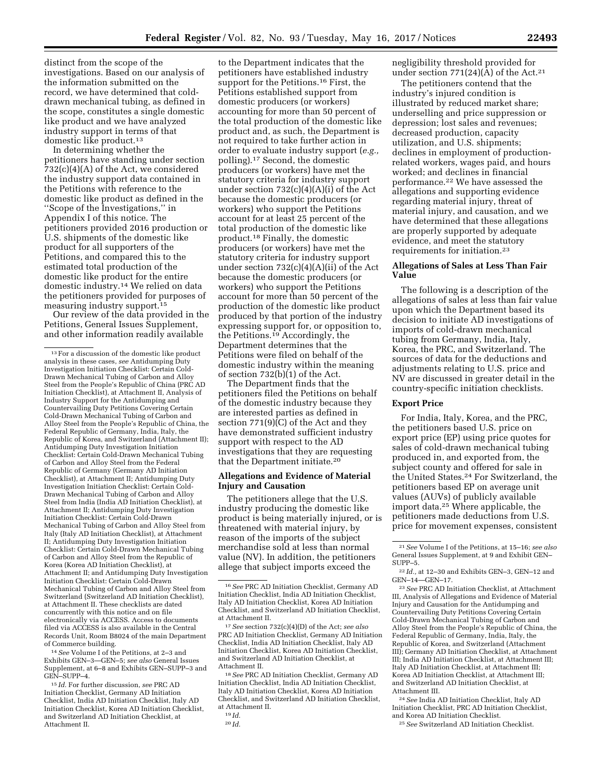distinct from the scope of the investigations. Based on our analysis of the information submitted on the record, we have determined that colddrawn mechanical tubing, as defined in the scope, constitutes a single domestic like product and we have analyzed industry support in terms of that domestic like product.<sup>13</sup>

In determining whether the petitioners have standing under section 732(c)(4)(A) of the Act, we considered the industry support data contained in the Petitions with reference to the domestic like product as defined in the ''Scope of the Investigations,'' in Appendix I of this notice. The petitioners provided 2016 production or U.S. shipments of the domestic like product for all supporters of the Petitions, and compared this to the estimated total production of the domestic like product for the entire domestic industry.14 We relied on data the petitioners provided for purposes of measuring industry support.15

Our review of the data provided in the Petitions, General Issues Supplement, and other information readily available

14*See* Volume I of the Petitions, at 2–3 and Exhibits GEN–3—GEN–5; *see also* General Issues Supplement, at 6–8 and Exhibits GEN–SUPP–3 and GEN–SUPP–4.

15 *Id.* For further discussion, *see* PRC AD Initiation Checklist, Germany AD Initiation Checklist, India AD Initiation Checklist, Italy AD Initiation Checklist, Korea AD Initiation Checklist, and Switzerland AD Initiation Checklist, at Attachment II.

to the Department indicates that the petitioners have established industry support for the Petitions.16 First, the Petitions established support from domestic producers (or workers) accounting for more than 50 percent of the total production of the domestic like product and, as such, the Department is not required to take further action in order to evaluate industry support (*e.g.,*  polling).17 Second, the domestic producers (or workers) have met the statutory criteria for industry support under section  $732(c)(4)(A)(i)$  of the Act because the domestic producers (or workers) who support the Petitions account for at least 25 percent of the total production of the domestic like product.18 Finally, the domestic producers (or workers) have met the statutory criteria for industry support under section 732(c)(4)(A)(ii) of the Act because the domestic producers (or workers) who support the Petitions account for more than 50 percent of the production of the domestic like product produced by that portion of the industry expressing support for, or opposition to, the Petitions.19 Accordingly, the Department determines that the Petitions were filed on behalf of the domestic industry within the meaning of section  $732(b)(1)$  of the Act.

The Department finds that the petitioners filed the Petitions on behalf of the domestic industry because they are interested parties as defined in section 771(9)(C) of the Act and they have demonstrated sufficient industry support with respect to the AD investigations that they are requesting that the Department initiate.20

# **Allegations and Evidence of Material Injury and Causation**

The petitioners allege that the U.S. industry producing the domestic like product is being materially injured, or is threatened with material injury, by reason of the imports of the subject merchandise sold at less than normal value (NV). In addition, the petitioners allege that subject imports exceed the

negligibility threshold provided for under section  $771(24)(A)$  of the Act.<sup>21</sup>

The petitioners contend that the industry's injured condition is illustrated by reduced market share; underselling and price suppression or depression; lost sales and revenues; decreased production, capacity utilization, and U.S. shipments; declines in employment of productionrelated workers, wages paid, and hours worked; and declines in financial performance.22 We have assessed the allegations and supporting evidence regarding material injury, threat of material injury, and causation, and we have determined that these allegations are properly supported by adequate evidence, and meet the statutory requirements for initiation.23

# **Allegations of Sales at Less Than Fair Value**

The following is a description of the allegations of sales at less than fair value upon which the Department based its decision to initiate AD investigations of imports of cold-drawn mechanical tubing from Germany, India, Italy, Korea, the PRC, and Switzerland. The sources of data for the deductions and adjustments relating to U.S. price and NV are discussed in greater detail in the country-specific initiation checklists.

## **Export Price**

For India, Italy, Korea, and the PRC, the petitioners based U.S. price on export price (EP) using price quotes for sales of cold-drawn mechanical tubing produced in, and exported from, the subject county and offered for sale in the United States.24 For Switzerland, the petitioners based EP on average unit values (AUVs) of publicly available import data.25 Where applicable, the petitioners made deductions from U.S. price for movement expenses, consistent

24*See* India AD Initiation Checklist, Italy AD Initiation Checklist, PRC AD Initiation Checklist, and Korea AD Initiation Checklist.

25*See* Switzerland AD Initiation Checklist.

<sup>13</sup>For a discussion of the domestic like product analysis in these cases, *see* Antidumping Duty Investigation Initiation Checklist: Certain Cold-Drawn Mechanical Tubing of Carbon and Alloy Steel from the People's Republic of China (PRC AD Initiation Checklist), at Attachment II, Analysis of Industry Support for the Antidumping and Countervailing Duty Petitions Covering Certain Cold-Drawn Mechanical Tubing of Carbon and Alloy Steel from the People's Republic of China, the Federal Republic of Germany, India, Italy, the Republic of Korea, and Switzerland (Attachment II); Antidumping Duty Investigation Initiation Checklist: Certain Cold-Drawn Mechanical Tubing of Carbon and Alloy Steel from the Federal Republic of Germany (Germany AD Initiation Checklist), at Attachment II; Antidumping Duty Investigation Initiation Checklist: Certain Cold-Drawn Mechanical Tubing of Carbon and Alloy Steel from India (India AD Initiation Checklist), at Attachment II; Antidumping Duty Investigation Initiation Checklist: Certain Cold-Drawn Mechanical Tubing of Carbon and Alloy Steel from Italy (Italy AD Initiation Checklist), at Attachment II; Antidumping Duty Investigation Initiation Checklist: Certain Cold-Drawn Mechanical Tubing of Carbon and Alloy Steel from the Republic of Korea (Korea AD Initiation Checklist), at Attachment II; and Antidumping Duty Investigation Initiation Checklist: Certain Cold-Drawn Mechanical Tubing of Carbon and Alloy Steel from Switzerland (Switzerland AD Initiation Checklist), at Attachment II. These checklists are dated concurrently with this notice and on file electronically via ACCESS. Access to documents filed via ACCESS is also available in the Central Records Unit, Room B8024 of the main Department of Commerce building.

<sup>16</sup>*See* PRC AD Initiation Checklist, Germany AD Initiation Checklist, India AD Initiation Checklist, Italy AD Initiation Checklist, Korea AD Initiation Checklist, and Switzerland AD Initiation Checklist, at Attachment II.

<sup>17</sup>*See* section 732(c)(4)(D) of the Act; *see also*  PRC AD Initiation Checklist, Germany AD Initiation Checklist, India AD Initiation Checklist, Italy AD Initiation Checklist, Korea AD Initiation Checklist, and Switzerland AD Initiation Checklist, at Attachment II.

<sup>18</sup>*See* PRC AD Initiation Checklist, Germany AD Initiation Checklist, India AD Initiation Checklist, Italy AD Initiation Checklist, Korea AD Initiation Checklist, and Switzerland AD Initiation Checklist, at Attachment II.

<sup>19</sup> *Id.*  20 *Id.* 

<sup>21</sup>*See* Volume I of the Petitions, at 15–16; *see also*  General Issues Supplement, at 9 and Exhibit GEN– SUPP–5.

 $^{22}\,Id.,$  at 12–30 and Exhibits GEN–3, GEN–12 and GEN–14—GEN–17.

<sup>23</sup>*See* PRC AD Initiation Checklist, at Attachment III, Analysis of Allegations and Evidence of Material Injury and Causation for the Antidumping and Countervailing Duty Petitions Covering Certain Cold-Drawn Mechanical Tubing of Carbon and Alloy Steel from the People's Republic of China, the Federal Republic of Germany, India, Italy, the Republic of Korea, and Switzerland (Attachment III); Germany AD Initiation Checklist, at Attachment III; India AD Initiation Checklist, at Attachment III; Italy AD Initiation Checklist, at Attachment III; Korea AD Initiation Checklist, at Attachment III; and Switzerland AD Initiation Checklist, at Attachment III.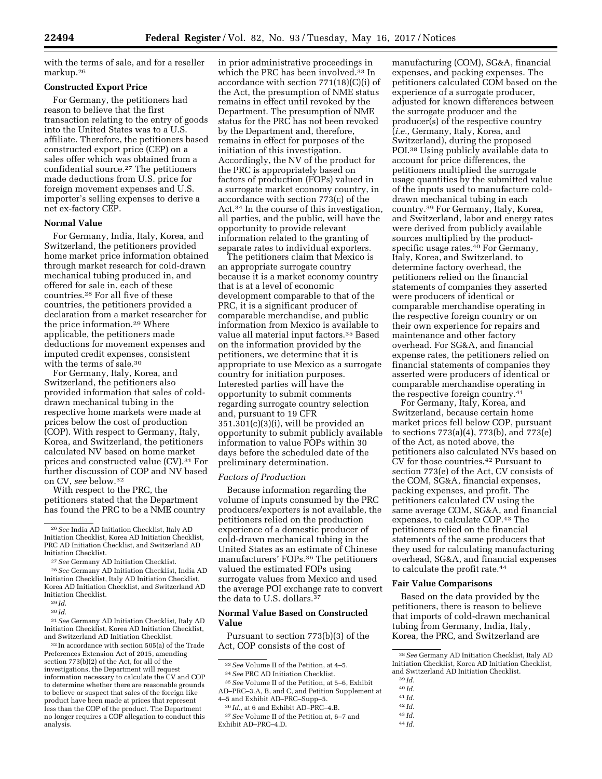with the terms of sale, and for a reseller markup.26

# **Constructed Export Price**

For Germany, the petitioners had reason to believe that the first transaction relating to the entry of goods into the United States was to a U.S. affiliate. Therefore, the petitioners based constructed export price (CEP) on a sales offer which was obtained from a confidential source.27 The petitioners made deductions from U.S. price for foreign movement expenses and U.S. importer's selling expenses to derive a net ex-factory CEP.

## **Normal Value**

For Germany, India, Italy, Korea, and Switzerland, the petitioners provided home market price information obtained through market research for cold-drawn mechanical tubing produced in, and offered for sale in, each of these countries.28 For all five of these countries, the petitioners provided a declaration from a market researcher for the price information.29 Where applicable, the petitioners made deductions for movement expenses and imputed credit expenses, consistent with the terms of sale.30

For Germany, Italy, Korea, and Switzerland, the petitioners also provided information that sales of colddrawn mechanical tubing in the respective home markets were made at prices below the cost of production (COP). With respect to Germany, Italy, Korea, and Switzerland, the petitioners calculated NV based on home market prices and constructed value (CV).31 For further discussion of COP and NV based on CV, *see* below.32

With respect to the PRC, the petitioners stated that the Department has found the PRC to be a NME country

31*See* Germany AD Initiation Checklist, Italy AD Initiation Checklist, Korea AD Initiation Checklist, and Switzerland AD Initiation Checklist.

32 In accordance with section 505(a) of the Trade Preferences Extension Act of 2015, amending section 773(b)(2) of the Act, for all of the investigations, the Department will request information necessary to calculate the CV and COP to determine whether there are reasonable grounds to believe or suspect that sales of the foreign like product have been made at prices that represent less than the COP of the product. The Department no longer requires a COP allegation to conduct this analysis.

in prior administrative proceedings in which the PRC has been involved.33 In accordance with section 771(18)(C)(i) of the Act, the presumption of NME status remains in effect until revoked by the Department. The presumption of NME status for the PRC has not been revoked by the Department and, therefore, remains in effect for purposes of the initiation of this investigation. Accordingly, the NV of the product for the PRC is appropriately based on factors of production (FOPs) valued in a surrogate market economy country, in accordance with section 773(c) of the Act.34 In the course of this investigation, all parties, and the public, will have the opportunity to provide relevant information related to the granting of separate rates to individual exporters.

The petitioners claim that Mexico is an appropriate surrogate country because it is a market economy country that is at a level of economic development comparable to that of the PRC, it is a significant producer of comparable merchandise, and public information from Mexico is available to value all material input factors.35 Based on the information provided by the petitioners, we determine that it is appropriate to use Mexico as a surrogate country for initiation purposes. Interested parties will have the opportunity to submit comments regarding surrogate country selection and, pursuant to 19 CFR  $351.301(c)(3)(i)$ , will be provided an opportunity to submit publicly available information to value FOPs within 30 days before the scheduled date of the preliminary determination.

## *Factors of Production*

Because information regarding the volume of inputs consumed by the PRC producers/exporters is not available, the petitioners relied on the production experience of a domestic producer of cold-drawn mechanical tubing in the United States as an estimate of Chinese manufacturers' FOPs.36 The petitioners valued the estimated FOPs using surrogate values from Mexico and used the average POI exchange rate to convert the data to U.S. dollars.37

## **Normal Value Based on Constructed Value**

Pursuant to section 773(b)(3) of the Act, COP consists of the cost of

35*See* Volume II of the Petition, at 5–6, Exhibit AD–PRC–3.A, B, and C, and Petition Supplement at 4–5 and Exhibit AD–PRC–Supp–5.

manufacturing (COM), SG&A, financial expenses, and packing expenses. The petitioners calculated COM based on the experience of a surrogate producer, adjusted for known differences between the surrogate producer and the producer(s) of the respective country (*i.e.,* Germany, Italy, Korea, and Switzerland), during the proposed POI.<sup>38</sup> Using publicly available data to account for price differences, the petitioners multiplied the surrogate usage quantities by the submitted value of the inputs used to manufacture colddrawn mechanical tubing in each country.39 For Germany, Italy, Korea, and Switzerland, labor and energy rates were derived from publicly available sources multiplied by the productspecific usage rates.40 For Germany, Italy, Korea, and Switzerland, to determine factory overhead, the petitioners relied on the financial statements of companies they asserted were producers of identical or comparable merchandise operating in the respective foreign country or on their own experience for repairs and maintenance and other factory overhead. For SG&A, and financial expense rates, the petitioners relied on financial statements of companies they asserted were producers of identical or comparable merchandise operating in the respective foreign country.41

For Germany, Italy, Korea, and Switzerland, because certain home market prices fell below COP, pursuant to sections 773(a)(4), 773(b), and 773(e) of the Act, as noted above, the petitioners also calculated NVs based on CV for those countries.42 Pursuant to section 773(e) of the Act, CV consists of the COM, SG&A, financial expenses, packing expenses, and profit. The petitioners calculated CV using the same average COM, SG&A, and financial expenses, to calculate COP.43 The petitioners relied on the financial statements of the same producers that they used for calculating manufacturing overhead, SG&A, and financial expenses to calculate the profit rate.<sup>44</sup>

## **Fair Value Comparisons**

Based on the data provided by the petitioners, there is reason to believe that imports of cold-drawn mechanical tubing from Germany, India, Italy, Korea, the PRC, and Switzerland are

40 *Id.* 

- 
- 42 *Id.*
- 43 *Id.*
- 44 *Id.*

<sup>26</sup>*See* India AD Initiation Checklist, Italy AD Initiation Checklist, Korea AD Initiation Checklist, PRC AD Initiation Checklist, and Switzerland AD Initiation Checklist.

<sup>27</sup>*See* Germany AD Initiation Checklist.

<sup>28</sup>*See* Germany AD Initiation Checklist, India AD Initiation Checklist, Italy AD Initiation Checklist, Korea AD Initiation Checklist, and Switzerland AD Initiation Checklist.

<sup>29</sup> *Id.*  30 *Id.* 

<sup>33</sup>*See* Volume II of the Petition, at 4–5.

<sup>34</sup>*See* PRC AD Initiation Checklist.

<sup>36</sup> *Id.,* at 6 and Exhibit AD–PRC–4.B.

<sup>37</sup>*See* Volume II of the Petition at, 6–7 and Exhibit AD–PRC–4.D.

<sup>38</sup>*See* Germany AD Initiation Checklist, Italy AD Initiation Checklist, Korea AD Initiation Checklist, and Switzerland AD Initiation Checklist.

<sup>39</sup> *Id.* 

<sup>41</sup> *Id.*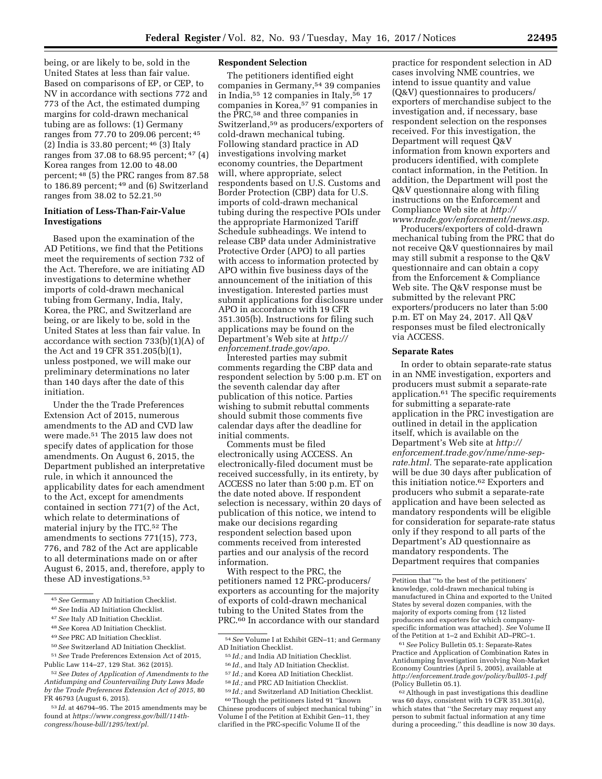being, or are likely to be, sold in the United States at less than fair value. Based on comparisons of EP, or CEP, to NV in accordance with sections 772 and 773 of the Act, the estimated dumping margins for cold-drawn mechanical tubing are as follows: (1) Germany ranges from 77.70 to 209.06 percent; 45 (2) India is  $33.80$  percent;  $46$  (3) Italy ranges from 37.08 to 68.95 percent; 47 (4) Korea ranges from 12.00 to 48.00 percent; 48 (5) the PRC ranges from 87.58 to 186.89 percent; 49 and (6) Switzerland ranges from 38.02 to 52.21.50

# **Initiation of Less-Than-Fair-Value Investigations**

Based upon the examination of the AD Petitions, we find that the Petitions meet the requirements of section 732 of the Act. Therefore, we are initiating AD investigations to determine whether imports of cold-drawn mechanical tubing from Germany, India, Italy, Korea, the PRC, and Switzerland are being, or are likely to be, sold in the United States at less than fair value. In accordance with section 733(b)(1)(A) of the Act and 19 CFR 351.205(b)(1), unless postponed, we will make our preliminary determinations no later than 140 days after the date of this initiation.

Under the the Trade Preferences Extension Act of 2015, numerous amendments to the AD and CVD law were made.51 The 2015 law does not specify dates of application for those amendments. On August 6, 2015, the Department published an interpretative rule, in which it announced the applicability dates for each amendment to the Act, except for amendments contained in section 771(7) of the Act, which relate to determinations of material injury by the ITC.52 The amendments to sections 771(15), 773, 776, and 782 of the Act are applicable to all determinations made on or after August 6, 2015, and, therefore, apply to these AD investigations.<sup>53</sup>

# **Respondent Selection**

The petitioners identified eight companies in Germany,54 39 companies in India,<sup>55</sup> 12 companies in Italy,<sup>56</sup> 17 companies in Korea,57 91 companies in the PRC,58 and three companies in Switzerland,59 as producers/exporters of cold-drawn mechanical tubing. Following standard practice in AD investigations involving market economy countries, the Department will, where appropriate, select respondents based on U.S. Customs and Border Protection (CBP) data for U.S. imports of cold-drawn mechanical tubing during the respective POIs under the appropriate Harmonized Tariff Schedule subheadings. We intend to release CBP data under Administrative Protective Order (APO) to all parties with access to information protected by APO within five business days of the announcement of the initiation of this investigation. Interested parties must submit applications for disclosure under APO in accordance with 19 CFR 351.305(b). Instructions for filing such applications may be found on the Department's Web site at *[http://](http://enforcement.trade.gov/apo) [enforcement.trade.gov/apo.](http://enforcement.trade.gov/apo)* 

Interested parties may submit comments regarding the CBP data and respondent selection by 5:00 p.m. ET on the seventh calendar day after publication of this notice. Parties wishing to submit rebuttal comments should submit those comments five calendar days after the deadline for initial comments.

Comments must be filed electronically using ACCESS. An electronically-filed document must be received successfully, in its entirety, by ACCESS no later than 5:00 p.m. ET on the date noted above. If respondent selection is necessary, within 20 days of publication of this notice, we intend to make our decisions regarding respondent selection based upon comments received from interested parties and our analysis of the record information.

With respect to the PRC, the petitioners named 12 PRC-producers/ exporters as accounting for the majority of exports of cold-drawn mechanical tubing to the United States from the PRC.<sup>60</sup> In accordance with our standard

- 58 *Id.;* and PRC AD Initiation Checklist.
- 59 *Id.;* and Switzerland AD Initiation Checklist.

60Though the petitioners listed 91 ''known Chinese producers of subject mechanical tubing'' in Volume I of the Petition at Exhibit Gen–11, they clarified in the PRC-specific Volume II of the

practice for respondent selection in AD cases involving NME countries, we intend to issue quantity and value (Q&V) questionnaires to producers/ exporters of merchandise subject to the investigation and, if necessary, base respondent selection on the responses received. For this investigation, the Department will request Q&V information from known exporters and producers identified, with complete contact information, in the Petition. In addition, the Department will post the Q&V questionnaire along with filing instructions on the Enforcement and Compliance Web site at *[http://](http://www.trade.gov/enforcement/news.asp) [www.trade.gov/enforcement/news.asp.](http://www.trade.gov/enforcement/news.asp)* 

Producers/exporters of cold-drawn mechanical tubing from the PRC that do not receive Q&V questionnaires by mail may still submit a response to the Q&V questionnaire and can obtain a copy from the Enforcement & Compliance Web site. The Q&V response must be submitted by the relevant PRC exporters/producers no later than 5:00 p.m. ET on May 24, 2017. All Q&V responses must be filed electronically via ACCESS.

#### **Separate Rates**

In order to obtain separate-rate status in an NME investigation, exporters and producers must submit a separate-rate application.61 The specific requirements for submitting a separate-rate application in the PRC investigation are outlined in detail in the application itself, which is available on the Department's Web site at *[http://](http://enforcement.trade.gov/nme/nme-sep-rate.html) [enforcement.trade.gov/nme/nme-sep](http://enforcement.trade.gov/nme/nme-sep-rate.html)[rate.html.](http://enforcement.trade.gov/nme/nme-sep-rate.html)* The separate-rate application will be due 30 days after publication of this initiation notice.62 Exporters and producers who submit a separate-rate application and have been selected as mandatory respondents will be eligible for consideration for separate-rate status only if they respond to all parts of the Department's AD questionnaire as mandatory respondents. The Department requires that companies

61*See* Policy Bulletin 05.1: Separate-Rates Practice and Application of Combination Rates in Antidumping Investigation involving Non-Market Economy Countries (April 5, 2005), available at *<http://enforcement.trade.gov/policy/bull05-1.pdf>* (Policy Bulletin 05.1).

62Although in past investigations this deadline was 60 days, consistent with 19 CFR 351.301(a), which states that ''the Secretary may request any person to submit factual information at any time during a proceeding,'' this deadline is now 30 days.

<sup>45</sup>*See* Germany AD Initiation Checklist.

<sup>46</sup>*See* India AD Initiation Checklist.

<sup>47</sup>*See* Italy AD Initiation Checklist.

<sup>48</sup>*See* Korea AD Initiation Checklist.

<sup>49</sup>*See* PRC AD Initiation Checklist.

<sup>50</sup>*See* Switzerland AD Initiation Checklist.

<sup>51</sup>*See* Trade Preferences Extension Act of 2015, Public Law 114–27, 129 Stat. 362 (2015).

<sup>52</sup>*See Dates of Application of Amendments to the Antidumping and Countervailing Duty Laws Made by the Trade Preferences Extension Act of 2015,* 80 FR 46793 (August 6, 2015).

<sup>53</sup> *Id.* at 46794–95. The 2015 amendments may be found at *[https://www.congress.gov/bill/114th](https://www.congress.gov/bill/114th-congress/house-bill/1295/text/pl)[congress/house-bill/1295/text/pl.](https://www.congress.gov/bill/114th-congress/house-bill/1295/text/pl)* 

<sup>54</sup>*See* Volume I at Exhibit GEN–11; and Germany AD Initiation Checklist.

<sup>55</sup> *Id.;* and India AD Initiation Checklist.

<sup>56</sup> *Id.,* and Italy AD Initiation Checklist.

<sup>57</sup> *Id.;* and Korea AD Initiation Checklist.

Petition that ''to the best of the petitioners' knowledge, cold-drawn mechanical tubing is manufactured in China and exported to the United States by several dozen companies, with the majority of exports coming from {12 listed producers and exporters for which companyspecific information was attached}. *See* Volume II of the Petition at 1–2 and Exhibit AD–PRC–1.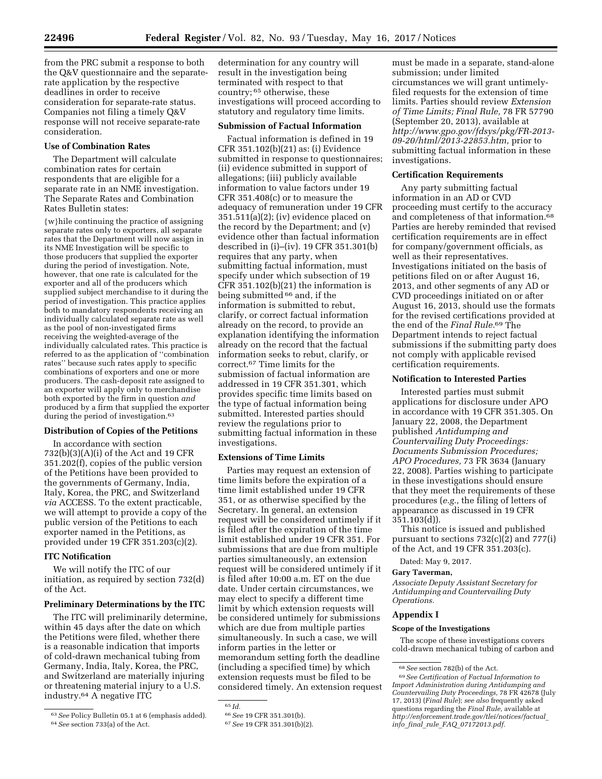from the PRC submit a response to both the Q&V questionnaire and the separaterate application by the respective deadlines in order to receive consideration for separate-rate status. Companies not filing a timely Q&V response will not receive separate-rate consideration.

## **Use of Combination Rates**

The Department will calculate combination rates for certain respondents that are eligible for a separate rate in an NME investigation. The Separate Rates and Combination Rates Bulletin states:

{w}hile continuing the practice of assigning separate rates only to exporters, all separate rates that the Department will now assign in its NME Investigation will be specific to those producers that supplied the exporter during the period of investigation. Note, however, that one rate is calculated for the exporter and all of the producers which supplied subject merchandise to it during the period of investigation. This practice applies both to mandatory respondents receiving an individually calculated separate rate as well as the pool of non-investigated firms receiving the weighted-average of the individually calculated rates. This practice is referred to as the application of ''combination rates'' because such rates apply to specific combinations of exporters and one or more producers. The cash-deposit rate assigned to an exporter will apply only to merchandise both exported by the firm in question *and*  produced by a firm that supplied the exporter during the period of investigation.<sup>63</sup>

# **Distribution of Copies of the Petitions**

In accordance with section 732(b)(3)(A)(i) of the Act and 19 CFR 351.202(f), copies of the public version of the Petitions have been provided to the governments of Germany, India, Italy, Korea, the PRC, and Switzerland *via* ACCESS. To the extent practicable, we will attempt to provide a copy of the public version of the Petitions to each exporter named in the Petitions, as provided under 19 CFR 351.203(c)(2).

#### **ITC Notification**

We will notify the ITC of our initiation, as required by section 732(d) of the Act.

# **Preliminary Determinations by the ITC**

The ITC will preliminarily determine, within 45 days after the date on which the Petitions were filed, whether there is a reasonable indication that imports of cold-drawn mechanical tubing from Germany, India, Italy, Korea, the PRC, and Switzerland are materially injuring or threatening material injury to a U.S. industry.64 A negative ITC

determination for any country will result in the investigation being terminated with respect to that country; 65 otherwise, these investigations will proceed according to statutory and regulatory time limits.

#### **Submission of Factual Information**

Factual information is defined in 19 CFR 351.102(b)(21) as: (i) Evidence submitted in response to questionnaires; (ii) evidence submitted in support of allegations; (iii) publicly available information to value factors under 19 CFR 351.408(c) or to measure the adequacy of remuneration under 19 CFR 351.511(a)(2); (iv) evidence placed on the record by the Department; and (v) evidence other than factual information described in (i)–(iv). 19 CFR 351.301(b) requires that any party, when submitting factual information, must specify under which subsection of 19 CFR 351.102(b)(21) the information is being submitted 66 and, if the information is submitted to rebut, clarify, or correct factual information already on the record, to provide an explanation identifying the information already on the record that the factual information seeks to rebut, clarify, or correct.67 Time limits for the submission of factual information are addressed in 19 CFR 351.301, which provides specific time limits based on the type of factual information being submitted. Interested parties should review the regulations prior to submitting factual information in these investigations.

## **Extensions of Time Limits**

Parties may request an extension of time limits before the expiration of a time limit established under 19 CFR 351, or as otherwise specified by the Secretary. In general, an extension request will be considered untimely if it is filed after the expiration of the time limit established under 19 CFR 351. For submissions that are due from multiple parties simultaneously, an extension request will be considered untimely if it is filed after 10:00 a.m. ET on the due date. Under certain circumstances, we may elect to specify a different time limit by which extension requests will be considered untimely for submissions which are due from multiple parties simultaneously. In such a case, we will inform parties in the letter or memorandum setting forth the deadline (including a specified time) by which extension requests must be filed to be considered timely. An extension request

must be made in a separate, stand-alone submission; under limited circumstances we will grant untimelyfiled requests for the extension of time limits. Parties should review *Extension of Time Limits; Final Rule,* 78 FR 57790 (September 20, 2013), available at *[http://www.gpo.gov/fdsys/pkg/FR-2013-](http://www.gpo.gov/fdsys/pkg/FR-2013-09-20/html/2013-22853.htm) [09-20/html/2013-22853.htm,](http://www.gpo.gov/fdsys/pkg/FR-2013-09-20/html/2013-22853.htm)* prior to submitting factual information in these investigations.

#### **Certification Requirements**

Any party submitting factual information in an AD or CVD proceeding must certify to the accuracy and completeness of that information.68 Parties are hereby reminded that revised certification requirements are in effect for company/government officials, as well as their representatives. Investigations initiated on the basis of petitions filed on or after August 16, 2013, and other segments of any AD or CVD proceedings initiated on or after August 16, 2013, should use the formats for the revised certifications provided at the end of the *Final Rule.*69 The Department intends to reject factual submissions if the submitting party does not comply with applicable revised certification requirements.

#### **Notification to Interested Parties**

Interested parties must submit applications for disclosure under APO in accordance with 19 CFR 351.305. On January 22, 2008, the Department published *Antidumping and Countervailing Duty Proceedings: Documents Submission Procedures; APO Procedures,* 73 FR 3634 (January 22, 2008). Parties wishing to participate in these investigations should ensure that they meet the requirements of these procedures (*e.g.,* the filing of letters of appearance as discussed in 19 CFR 351.103(d)).

This notice is issued and published pursuant to sections 732(c)(2) and 777(i) of the Act, and 19 CFR 351.203(c).

Dated: May 9, 2017.

## **Gary Taverman,**

*Associate Deputy Assistant Secretary for Antidumping and Countervailing Duty Operations.* 

# **Appendix I**

## **Scope of the Investigations**

The scope of these investigations covers cold-drawn mechanical tubing of carbon and

<sup>63</sup>*See* Policy Bulletin 05.1 at 6 (emphasis added). 64*See* section 733(a) of the Act.

<sup>65</sup> *Id.* 

<sup>66</sup>*See* 19 CFR 351.301(b).

<sup>67</sup>*See* 19 CFR 351.301(b)(2).

<sup>68</sup>*See* section 782(b) of the Act.

<sup>69</sup>*See Certification of Factual Information to Import Administration during Antidumping and Countervailing Duty Proceedings,* 78 FR 42678 (July 17, 2013) (*Final Rule*); *see also* frequently asked questions regarding the *Final Rule,* available at *[http://enforcement.trade.gov/tlei/notices/factual](http://enforcement.trade.gov/tlei/notices/factual_info_final_rule_FAQ_07172013.pdf)*\_ *info*\_*final*\_*rule*\_*FAQ*\_*[07172013.pdf.](http://enforcement.trade.gov/tlei/notices/factual_info_final_rule_FAQ_07172013.pdf)*